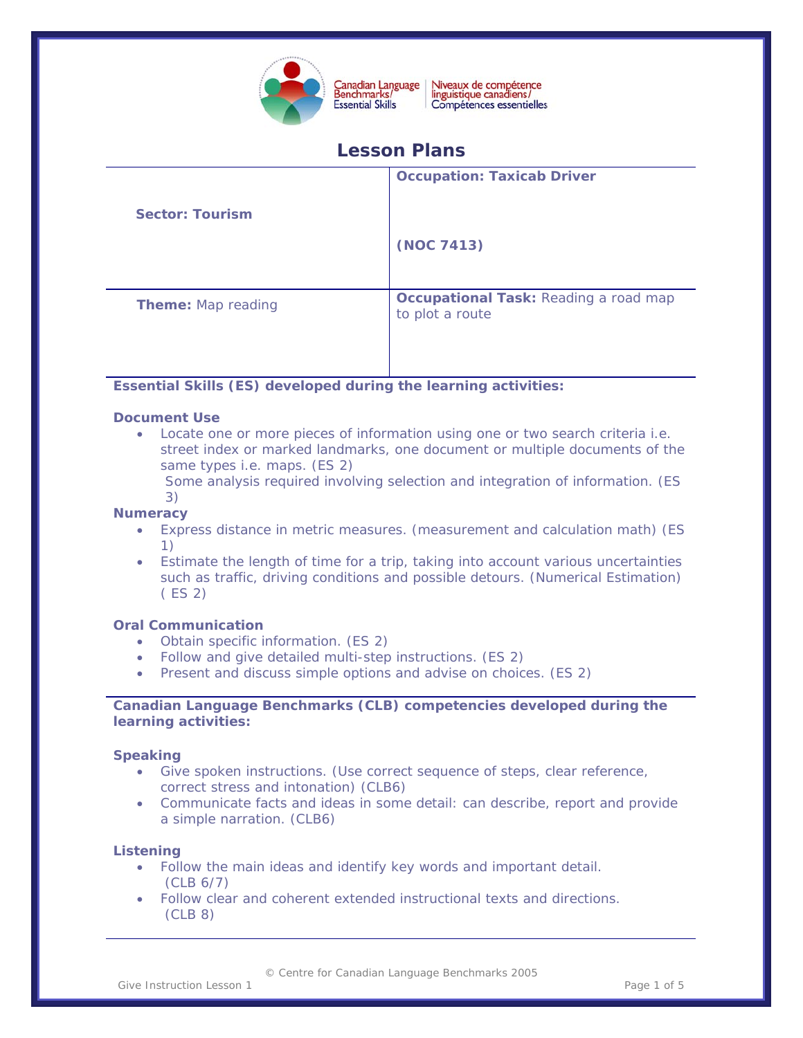

Niveaux de compétence<br>linguistique canadiens/ Compétences essentielles

# **Lesson Plans**

|                           | <b>Occupation: Taxicab Driver</b>                               |
|---------------------------|-----------------------------------------------------------------|
| <b>Sector: Tourism</b>    |                                                                 |
|                           | (NOC 7413)                                                      |
|                           |                                                                 |
| <b>Theme:</b> Map reading | <b>Occupational Task: Reading a road map</b><br>to plot a route |
|                           |                                                                 |

# **Essential Skills (ES) developed during the learning activities:**

### **Document Use**

• Locate one or more pieces of information using one or two search criteria i.e. street index or marked landmarks, one document or multiple documents of the same types i.e. maps. (ES 2)

Some analysis required involving selection and integration of information. (ES 3)

## **Numeracy**

- Express distance in metric measures. (measurement and calculation math) (ES 1)
- Estimate the length of time for a trip, taking into account various uncertainties such as traffic, driving conditions and possible detours. (Numerical Estimation) ( ES 2)

### **Oral Communication**

- Obtain specific information. (ES 2)
- Follow and give detailed multi-step instructions. (ES 2)
- Present and discuss simple options and advise on choices. (ES 2)

## **Canadian Language Benchmarks (CLB) competencies developed during the learning activities:**

#### **Speaking**

- Give spoken instructions. (Use correct sequence of steps, clear reference, correct stress and intonation) (CLB6)
- Communicate facts and ideas in some detail: can describe, report and provide a simple narration. (CLB6)

#### **Listening**

- Follow the main ideas and identify key words and important detail. (CLB 6/7)
- Follow clear and coherent extended instructional texts and directions. (CLB 8)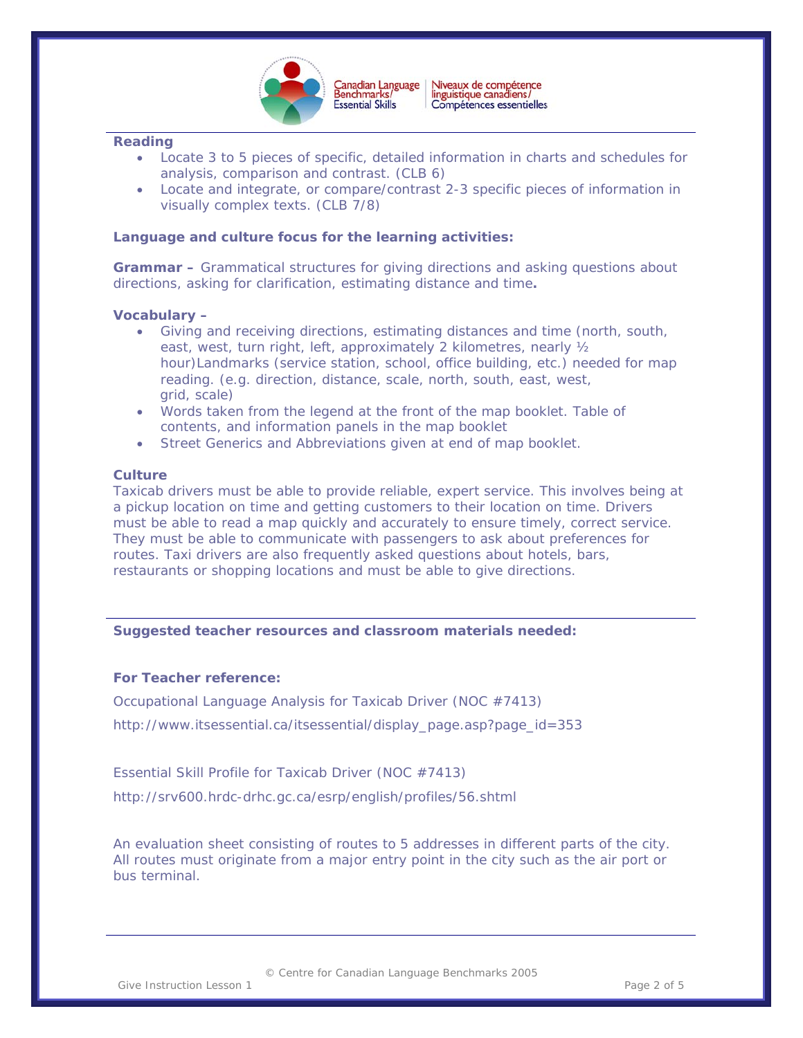

 $\overline{a}$ 

### **Reading**

- Locate 3 to 5 pieces of specific, detailed information in charts and schedules for analysis, comparison and contrast. (CLB 6)
- Locate and integrate, or compare/contrast 2-3 specific pieces of information in visually complex texts. (CLB 7/8)

## **Language and culture focus for the learning activities:**

**Grammar –** Grammatical structures for giving directions and asking questions about directions, asking for clarification, estimating distance and time**.** 

### **Vocabulary –**

- Giving and receiving directions, estimating distances and time (north, south, east, west, turn right, left, approximately 2 kilometres, nearly ½ hour)Landmarks (service station, school, office building, etc.) needed for map reading. (e.g. direction, distance, scale, north, south, east, west, grid, scale)
- Words taken from the legend at the front of the map booklet. Table of contents, and information panels in the map booklet
- Street Generics and Abbreviations given at end of map booklet.

### **Culture**

Taxicab drivers must be able to provide reliable, expert service. This involves being at a pickup location on time and getting customers to their location on time. Drivers must be able to read a map quickly and accurately to ensure timely, correct service. They must be able to communicate with passengers to ask about preferences for routes. Taxi drivers are also frequently asked questions about hotels, bars, restaurants or shopping locations and must be able to give directions.

### **Suggested teacher resources and classroom materials needed:**

### **For Teacher reference:**

Occupational Language Analysis for Taxicab Driver (NOC #7413)

[http://www.itsessential.ca/itsessential/display\\_page.asp?page\\_id=353](http://www.itsessential.ca/itsessential/display_page.asp?page_id=353)

Essential Skill Profile for Taxicab Driver (NOC #7413)

<http://srv600.hrdc-drhc.gc.ca/esrp/english/profiles/56.shtml>

An evaluation sheet consisting of routes to 5 addresses in different parts of the city. All routes must originate from a major entry point in the city such as the air port or bus terminal.

© Centre for Canadian Language Benchmarks 2005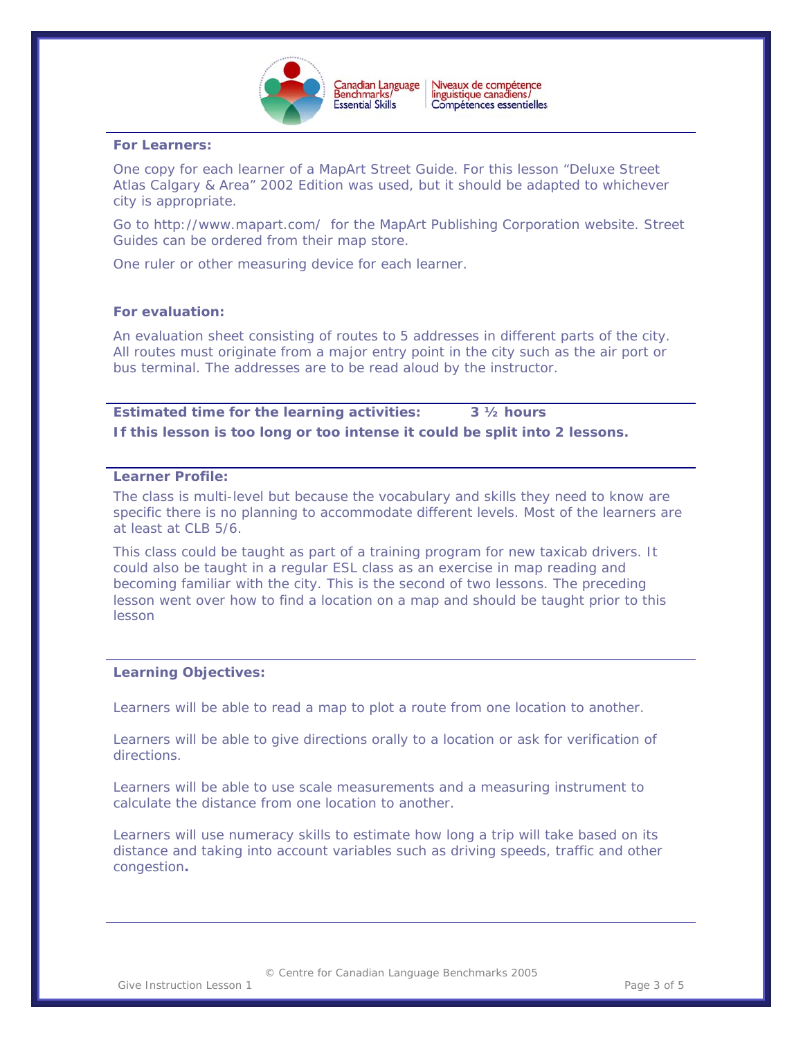

 $\overline{a}$ 

#### **For Learners:**

One copy for each learner of a MapArt Street Guide. For this lesson "Deluxe Street Atlas Calgary & Area" 2002 Edition was used, but it should be adapted to whichever city is appropriate.

Goto http://www.mapart.com/ for the MapArt Publishing Corporation website. Street Guides can be ordered from their map store.

One ruler or other measuring device for each learner.

#### **For evaluation:**

An evaluation sheet consisting of routes to 5 addresses in different parts of the city. All routes must originate from a major entry point in the city such as the air port or bus terminal. The addresses are to be read aloud by the instructor.

**Estimated time for the learning activities: 3 ½ hours If this lesson is too long or too intense it could be split into 2 lessons.** 

## **Learner Profile:**

The class is multi-level but because the vocabulary and skills they need to know are specific there is no planning to accommodate different levels. Most of the learners are at least at CLB 5/6.

This class could be taught as part of a training program for new taxicab drivers. It could also be taught in a regular ESL class as an exercise in map reading and becoming familiar with the city. This is the second of two lessons. The preceding lesson went over how to find a location on a map and should be taught prior to this lesson

#### **Learning Objectives:**

Learners will be able to read a map to plot a route from one location to another.

Learners will be able to give directions orally to a location or ask for verification of directions.

Learners will be able to use scale measurements and a measuring instrument to calculate the distance from one location to another.

Learners will use numeracy skills to estimate how long a trip will take based on its distance and taking into account variables such as driving speeds, traffic and other congestion**.** 

© Centre for Canadian Language Benchmarks 2005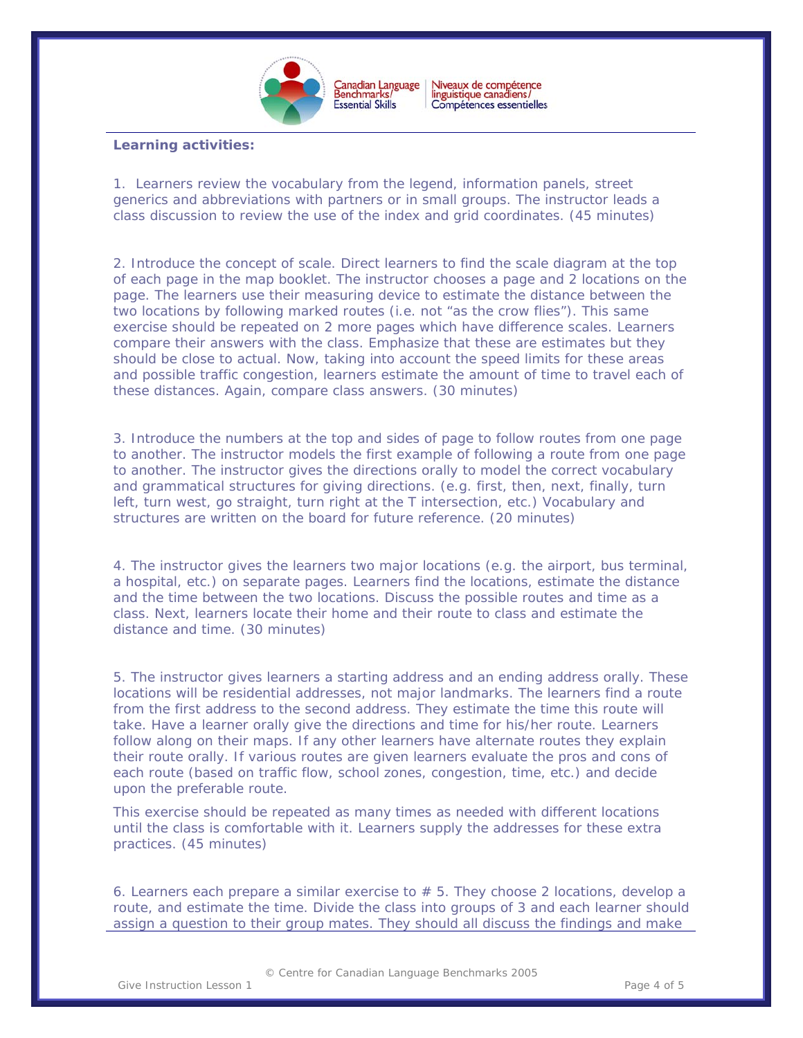

Canadian Language<br>Benchmarks/ Niveaux de compétence<br>linguistique canadiens/ Compétences essentielles

 $\overline{a}$ 

### **Learning activities:**

1. Learners review the vocabulary from the legend, information panels, street generics and abbreviations with partners or in small groups. The instructor leads a class discussion to review the use of the index and grid coordinates. (45 minutes)

2. Introduce the concept of scale. Direct learners to find the scale diagram at the top of each page in the map booklet. The instructor chooses a page and 2 locations on the page. The learners use their measuring device to estimate the distance between the two locations by following marked routes (i.e. not "as the crow flies"). This same exercise should be repeated on 2 more pages which have difference scales. Learners compare their answers with the class. Emphasize that these are estimates but they should be close to actual. Now, taking into account the speed limits for these areas and possible traffic congestion, learners estimate the amount of time to travel each of these distances. Again, compare class answers. (30 minutes)

3. Introduce the numbers at the top and sides of page to follow routes from one page to another. The instructor models the first example of following a route from one page to another. The instructor gives the directions orally to model the correct vocabulary and grammatical structures for giving directions. (e.g. first, then, next, finally, turn left, turn west, go straight, turn right at the T intersection, etc.) Vocabulary and structures are written on the board for future reference. (20 minutes)

4. The instructor gives the learners two major locations (e.g. the airport, bus terminal, a hospital, etc.) on separate pages. Learners find the locations, estimate the distance and the time between the two locations. Discuss the possible routes and time as a class. Next, learners locate their home and their route to class and estimate the distance and time. (30 minutes)

5. The instructor gives learners a starting address and an ending address orally. These locations will be residential addresses, not major landmarks. The learners find a route from the first address to the second address. They estimate the time this route will take. Have a learner orally give the directions and time for his/her route. Learners follow along on their maps. If any other learners have alternate routes they explain their route orally. If various routes are given learners evaluate the pros and cons of each route (based on traffic flow, school zones, congestion, time, etc.) and decide upon the preferable route.

This exercise should be repeated as many times as needed with different locations until the class is comfortable with it. Learners supply the addresses for these extra practices. (45 minutes)

6. Learners each prepare a similar exercise to  $# 5$ . They choose 2 locations, develop a route, and estimate the time. Divide the class into groups of 3 and each learner should assign a question to their group mates. They should all discuss the findings and make

© Centre for Canadian Language Benchmarks 2005

Give Instruction Lesson 1 and 1 and 1 and 1 and 1 and 1 and 1 and 1 and 1 and 1 and 1 and 1 and 1 and 1 and 1 and 1 and 1 and 1 and 1 and 1 and 1 and 1 and 1 and 1 and 1 and 1 and 1 and 1 and 1 and 1 and 1 and 1 and 1 and